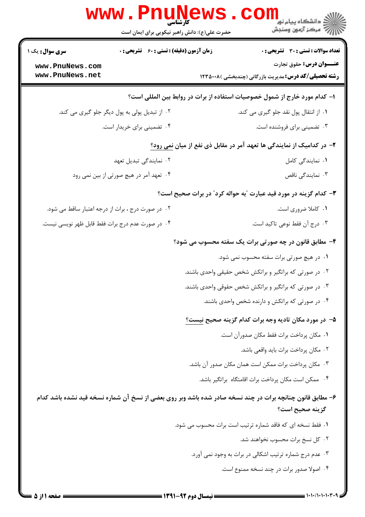|                                                   | <b>WWW</b><br>حضرت علی(ع): دانش راهبر نیکویی برای ایمان است                  | ڪ دانشڪاه پيا <sub>م</sub> نور<br><mark>ر</mark> ∕ مرڪز آزمون وسنڊش                                       |  |  |  |
|---------------------------------------------------|------------------------------------------------------------------------------|-----------------------------------------------------------------------------------------------------------|--|--|--|
| سری سوال: یک ۱                                    | زمان آزمون (دقیقه) : تستی : 60 گشریحی : 0                                    | <b>تعداد سوالات : تستي : 30 ٪ تشريحي : 0</b>                                                              |  |  |  |
| www.PnuNews.com<br>www.PnuNews.net                |                                                                              | عنـــوان درس: حقوق تجارت<br><b>رشته تحصیلی/کد درس:</b> مدیریت بازرگانی (چندبخشی )۱۲۳۵۰۰۸                  |  |  |  |
|                                                   | ا– کدام مورد خارج از شمول خصوصیات استفاده از برات در روابط بین المللی است؟   |                                                                                                           |  |  |  |
|                                                   | ۰۲ از تبدیل پولی به پول دیگر جلو گیری می کند.                                | ۰۱ از انتقال پول نقد جلو گیری می کند.                                                                     |  |  |  |
| ۰۴ تضمینی برای خریدار است.                        |                                                                              | ۰۳ تضمینی برای فروشنده است.                                                                               |  |  |  |
|                                                   | ۲– در کدامیک از نمایندگی ها تعهد آمر در مقابل ذی نفع از میان <u>نمی رود؟</u> |                                                                                                           |  |  |  |
| ۰۲ نمایندگی تبدیل تعهد                            |                                                                              | ٠١. نمايندگى كامل                                                                                         |  |  |  |
| ۰۴ تعهد آمر در هیچ صورتی از بین نمی رود           |                                                                              | ۰۳ نمایندگی ناقص                                                                                          |  |  |  |
|                                                   |                                                                              | ۳- کدام گزینه در مورد قید عبارت "به حواله کرد" در برات صحیح است؟                                          |  |  |  |
| ۰۲ در صورت درج ، برات از درجه اعتبار ساقط می شود. |                                                                              | ۰۱ کاملا ضروری است.                                                                                       |  |  |  |
| ۰۴ در صورت عدم درج برات فقط قابل ظهر نويسي نيست.  |                                                                              | ۰۳ درج آن فقط نوعی تاکید است.                                                                             |  |  |  |
|                                                   |                                                                              | ۴- مطابق قانون در چه صورتی برات یک سفته محسوب می شود؟                                                     |  |  |  |
|                                                   |                                                                              | ۰۱ در هیچ صورتی برات سفته محسوب نمی شود.                                                                  |  |  |  |
|                                                   |                                                                              | ۰۲ در صورتی که براتگیر و براتکش شخص حقیقی واحدی باشند.                                                    |  |  |  |
|                                                   |                                                                              | ۰۳ در صورتی که براتگیر و براتکش شخص حقوقی واحدی باشند.                                                    |  |  |  |
|                                                   |                                                                              | ۰۴ در صورتی که براتکش و دارنده شخص واحدی باشند.                                                           |  |  |  |
|                                                   |                                                                              | ۵– در مورد مکان تادیه وجه برات کدام گزینه صحیح نیست؟                                                      |  |  |  |
|                                                   |                                                                              | ٠١ مكان پرداخت برات فقط مكان صدورآن است.                                                                  |  |  |  |
|                                                   |                                                                              | ٠٢ مكان پرداخت برات بايد واقعي باشد.                                                                      |  |  |  |
|                                                   |                                                                              | ۰۳ مکان پرداخت برات ممکن است همان مکان صدور آن باشد.                                                      |  |  |  |
|                                                   |                                                                              | ۰۴ ممکن است مکان پرداخت برات اقامتگاه براتگیر باشد.                                                       |  |  |  |
|                                                   |                                                                              | ۶– مطابق قانون چنانچه برات در چند نسخه صادر شده باشد وبر روی بعضی از نسخ آن شماره نسخه قید نشده باشد کدام |  |  |  |
|                                                   |                                                                              | گزينه صحيح است؟                                                                                           |  |  |  |
|                                                   |                                                                              | ٠١ فقط نسخه اي كه فاقد شماره ترتيب است برات محسوب مي شود.                                                 |  |  |  |
|                                                   |                                                                              | ۰۲ کل نسخ برات محسوب نخواهند شد.                                                                          |  |  |  |
|                                                   |                                                                              | ۰۳ عدم درج شماره ترتیب اشکالی در برات به وجود نمی آورد.                                                   |  |  |  |
|                                                   |                                                                              | ۰۴ اصولا صدور برات در چند نسخه ممنوع است.                                                                 |  |  |  |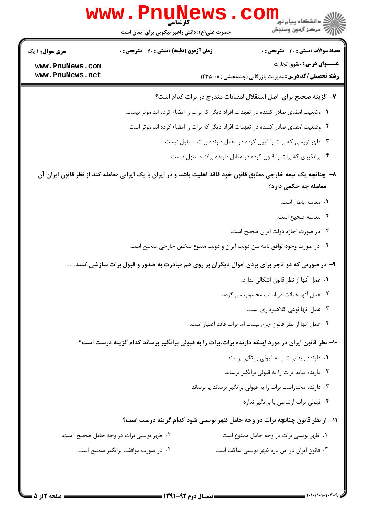

 $= 1.1 - 11.1 - 1.1 + 1.1$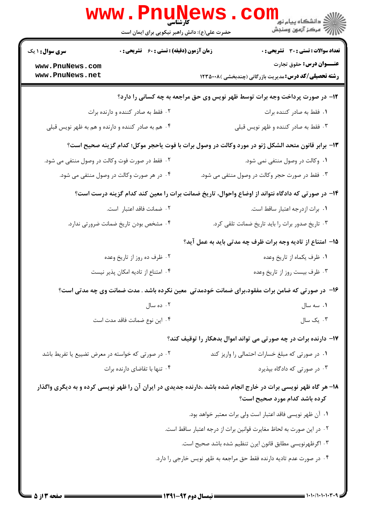|                                                                             | <b>www.PnuNews</b><br>کارشناسی<br>حضرت علی(ع): دانش راهبر نیکویی برای ایمان است                                |                               | ر دانشڪاه پيام نور <mark>−</mark><br>ا∛ مرکز آزمون وسنڊش                                 |  |  |
|-----------------------------------------------------------------------------|----------------------------------------------------------------------------------------------------------------|-------------------------------|------------------------------------------------------------------------------------------|--|--|
| <b>سری سوال : ۱ یک</b>                                                      | زمان آزمون (دقیقه) : تستی : 60 ٪ تشریحی : 0                                                                    |                               | <b>تعداد سوالات : تستی : 30 ٪ تشریحی : 0</b>                                             |  |  |
| www.PnuNews.com<br>www.PnuNews.net                                          |                                                                                                                |                               | عنـــوان درس: حقوق تجارت<br><b>رشته تحصیلی/کد درس:</b> مدیریت بازرگانی (چندبخشی )۱۲۳۵۰۰۸ |  |  |
| ۱۲- در صورت پرداخت وجه برات توسط ظهر نویس وی حق مراجعه به چه کسانی را دارد؟ |                                                                                                                |                               |                                                                                          |  |  |
|                                                                             | ۰۲ فقط به صادر کننده و دارنده برات                                                                             |                               | ۰۱ فقط به صادر کننده برات                                                                |  |  |
|                                                                             | ۰۴ هم به صادر کننده و دارنده و هم به ظهر نویس قبلی                                                             |                               | ۰۳ فقط به صادر کننده و ظهر نویس قبلی                                                     |  |  |
|                                                                             | 13- برابر قانون متحد الشكل ژنو در مورد وكالت در وصول برات با فوت ياحجر موكل؛ كدام گزينه صحيح است؟              |                               |                                                                                          |  |  |
|                                                                             | ۰۲ فقط در صورت فوت وکالت در وصول منتفی می شود.                                                                 |                               | ۰۱ وکالت در وصول منتفی نمی شود.                                                          |  |  |
|                                                                             | ۰۴ در هر صورت وکالت در وصول منتفی می شود.                                                                      |                               | ۰۳ فقط در صورت حجر وکالت در وصول منتفی می شود.                                           |  |  |
|                                                                             | ۱۴– در صورتی که دادگاه نتواند از اوضاع واحوال، تاریخ ضمانت برات را معین کند کدام گزینه درست است؟               |                               |                                                                                          |  |  |
|                                                                             | ٢. ضمانت فاقد اعتبار است.                                                                                      |                               | ٠١. برات ازدرجه اعتبار ساقط است.                                                         |  |  |
|                                                                             | ۰۴ مشخص بودن تاریخ ضمانت ضرورتی ندارد.                                                                         |                               | ۰۳ تاریخ صدور برات را باید تاریخ ضمانت تلقی کرد.                                         |  |  |
|                                                                             |                                                                                                                |                               | 1۵– امتناع از تادیه وجه برات ظرف چه مدتی باید به عمل آید؟                                |  |  |
|                                                                             | ۰۲ ظرف ده روز از تاریخ وعده                                                                                    | ۰۱ ظرف يكماه از تاريخ وعده    |                                                                                          |  |  |
| ۰۴ امتناع از تادیه امکان پذیر نیست                                          |                                                                                                                | ۰۳ ظرف بیست روز از تاریخ وعده |                                                                                          |  |  |
|                                                                             | ۱۶- در صورتی که ضامن برات مفقود،برای ضمانت خودمدتی ًمعین نکرده باشد . مدت ضمانت وی چه مدتی است؟                |                               |                                                                                          |  |  |
|                                                                             | ۰۲ ده سال                                                                                                      |                               | ۰۱ سه سال                                                                                |  |  |
|                                                                             | ۰۴ این نوع ضمانت فاقد مدت است                                                                                  |                               | ۰۳ یک سال                                                                                |  |  |
|                                                                             |                                                                                                                |                               | ۱۷– دارنده برات در چه صورتی می تواند اموال بدهکار را توقیف کند؟                          |  |  |
|                                                                             | ۰۲ در صورتی که خواسته در معرض تضییع یا تفریط باشد                                                              |                               | ۰۱ در صورتی که مبلغ خسارات احتمالی را واریز کند                                          |  |  |
|                                                                             | ۰۴ تنها با تقاضای دارنده برات                                                                                  |                               | ۰۳ در صورتی که دادگاه بپذیرد                                                             |  |  |
|                                                                             | ۱۸– هر گاه ظهر نویسی برات در خارج انجام شده باشد ،دارنده جدیدی در ایران آن را ظهر نویسی کرده و به دیگری واگذار |                               | کرده باشد کدام مورد صحیح است؟                                                            |  |  |
|                                                                             |                                                                                                                |                               | ٠١ آن ظهر نويسي فاقد اعتبار است ولي برات معتبر خواهد بود.                                |  |  |
|                                                                             |                                                                                                                |                               | ٢. در اين صورت به لحاظ مغايرت قوانين برات از درجه اعتبار ساقط است.                       |  |  |
|                                                                             |                                                                                                                |                               | ۰۳ اگرظهرنویسی مطابق قانون ایرن تنظیم شده باشد صحیح است.                                 |  |  |
|                                                                             |                                                                                                                |                               | ۰۴ در صورت عدم تادیه دارنده فقط حق مراجعه به ظهر نویس خارجی را دارد.                     |  |  |
|                                                                             |                                                                                                                |                               |                                                                                          |  |  |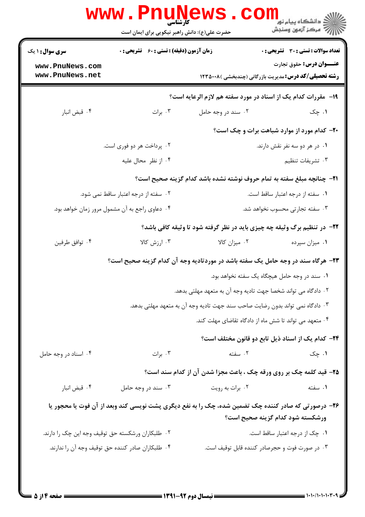| <b>سری سوال : ۱ یک</b>                            | <b>زمان آزمون (دقیقه) : تستی : 60 ٪ تشریحی : 0</b> |                                                                                                     | <b>تعداد سوالات : تستی : 30 ٪ تشریحی : 0</b>                                                    |  |
|---------------------------------------------------|----------------------------------------------------|-----------------------------------------------------------------------------------------------------|-------------------------------------------------------------------------------------------------|--|
| www.PnuNews.com<br>www.PnuNews.net                |                                                    |                                                                                                     | <b>عنـــوان درس:</b> حقوق تجارت<br><b>رشته تحصیلی/کد درس:</b> مدیریت بازرگانی (چندبخشی )۱۲۳۵۰۰۸ |  |
|                                                   |                                                    | <b>۱۹</b> - مقررات کدام یک از اسناد در مورد سفته هم لازم الرعایه است؟                               |                                                                                                 |  |
| ۰۴ قبض انبار                                      | ۰۳ برات                                            | ۰۲ سند در وجه حامل                                                                                  | ۰۱ چک                                                                                           |  |
|                                                   |                                                    |                                                                                                     | <b>۲۰</b> - کدام مورد از موارد شباهت برات و چک است؟                                             |  |
| ۰۲ پرداخت هر دو فوری است.                         |                                                    |                                                                                                     | ۰۱ در هر دو سه نفر نقش دارند.                                                                   |  |
|                                                   | ۰۴ از نظر محال عليه                                |                                                                                                     | ۰۳ تشریفات تنظیم                                                                                |  |
|                                                   |                                                    | <b>3</b> - چنانچه مبلغ سفته به تمام حروف نوشته نشده باشد کدام گزینه صحیح است؟                       |                                                                                                 |  |
|                                                   | ۰۲ سفته از درجه اعتبار ساقط نمی شود.               |                                                                                                     | ٠١ سفته از درجه اعتبار ساقط است.                                                                |  |
| ۰۴ دعاوی راجع به آن مشمول مرور زمان خواهد بود.    |                                                    |                                                                                                     | ۰۳ سفته تجارتی محسوب نخواهد شد.                                                                 |  |
|                                                   |                                                    | ۲۲- در تنظیم برگ وثیقه چه چیزی باید در نظر گرفته شود تا وثیقه کافی باشد؟                            |                                                                                                 |  |
| ۰۴ توافق طرفين                                    | ۰۳ ارزش کالا                                       | ۰۲ میزان کالا                                                                                       | ٠١ ميزان سپرده                                                                                  |  |
|                                                   |                                                    | ۲۳- هرگاه سند در وجه حامل یک سفته باشد در موردتادیه وجه آن کدام گزینه صحیح است؟                     |                                                                                                 |  |
|                                                   |                                                    |                                                                                                     | ۰۱ سند در وجه حامل هیچگاه یک سفته نخواهد بود.                                                   |  |
|                                                   |                                                    | ۰۲ دادگاه می تواند شخصا جهت تادیه وجه آن به متعهد مهلتی بدهد.                                       |                                                                                                 |  |
|                                                   |                                                    | ۰۳ دادگاه نمی تواند بدون رضایت صاحب سند جهت تادیه وجه آن به متعهد مهلتی بدهد.                       |                                                                                                 |  |
|                                                   |                                                    | ۰۴ متعهد می تواند تا شش ماه از دادگاه تقاضای مهلت کند.                                              |                                                                                                 |  |
|                                                   |                                                    |                                                                                                     | ٢۴- كدام يك از اسناد ذيل تابع دو قانون مختلف است؟                                               |  |
| ۰۴ اسناد در وجه حامل                              | ۰۳ برات                                            | ۰۲ سفته                                                                                             | ۰۱ چک                                                                                           |  |
|                                                   |                                                    | ۲۵- قید کلمه چک بر روی ورقه چک ، باعث مجزا شدن آن از کدام سند است؟                                  |                                                                                                 |  |
| ۰۴ قبض انبار                                      | ۰۳ سند در وجه حامل                                 | ۰۲ برات به رويت                                                                                     | ۰۱ سفته                                                                                         |  |
|                                                   |                                                    | ۲۶- درصورتی که صادر کننده چک تضمین شده، چک را به نفع دیگری پشت نویسی کند وبعد از آن فوت یا محجور یا | ورشكسته شود كدام گزينه صحيح است؟                                                                |  |
| ۰۲ طلبکاران ورشکسته حق توقیف وجه این چک را دارند. |                                                    |                                                                                                     | ۰۱ چک از درجه اعتبار ساقط است.                                                                  |  |
| ۰۴ طلبکاران صادر کننده حق توقیف وجه آن را ندارند. |                                                    |                                                                                                     | ۰۳ در صورت فوت و حجرصادر کننده قابل توقیف است.                                                  |  |

 $=$  1+1+/1+1+1+1